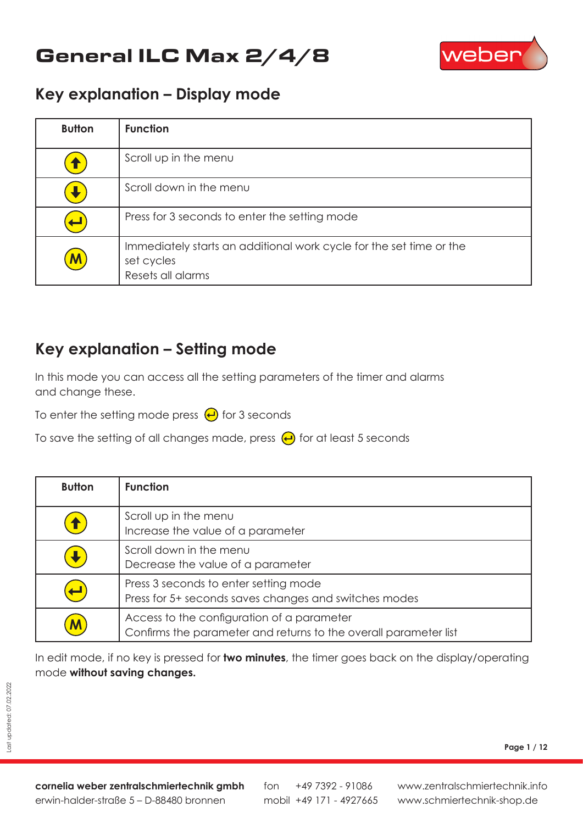# General ILC Max 2/4/8



#### **Key explanation – Display mode**

| <b>Button</b>             | <b>Function</b>                                                                                        |
|---------------------------|--------------------------------------------------------------------------------------------------------|
|                           | Scroll up in the menu                                                                                  |
|                           | Scroll down in the menu                                                                                |
|                           | Press for 3 seconds to enter the setting mode                                                          |
| $\boldsymbol{\mathsf{M}}$ | Immediately starts an additional work cycle for the set time or the<br>set cycles<br>Resets all alarms |

#### **Key explanation – Setting mode**

In this mode you can access all the setting parameters of the timer and alarms and change these.

To enter the setting mode press  $\bigoplus$  for 3 seconds

To save the setting of all changes made, press  $\bigoplus$  for at least 5 seconds

| <b>Button</b>              | <b>Function</b>                                                                                                |
|----------------------------|----------------------------------------------------------------------------------------------------------------|
| $\textcolor{red}{\bullet}$ | Scroll up in the menu<br>Increase the value of a parameter                                                     |
|                            | Scroll down in the menu<br>Decrease the value of a parameter                                                   |
| $\blacksquare$             | Press 3 seconds to enter setting mode<br>Press for 5+ seconds saves changes and switches modes                 |
| M                          | Access to the configuration of a parameter<br>Confirms the parameter and returns to the overall parameter list |

In edit mode, if no key is pressed for **two minutes**, the timer goes back on the display/operating mode **without saving changes.**

**cornelia weber zentralschmiertechnik gmbh** erwin-halder-straße 5 – D-88480 bronnen

fon mobil +49 171 - 4927665 +49 7392 - 91086 **Page 1 / 12**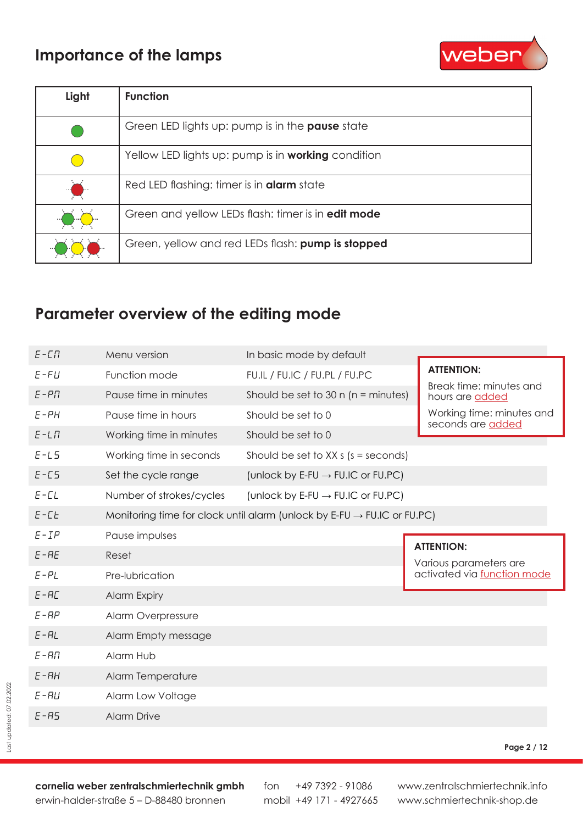### **Importance of the lamps**



| Light | <b>Function</b>                                           |
|-------|-----------------------------------------------------------|
|       | Green LED lights up: pump is in the <b>pause</b> state    |
|       | Yellow LED lights up: pump is in working condition        |
|       | Red LED flashing: timer is in <b>alarm</b> state          |
|       | Green and yellow LEDs flash: timer is in <b>edit mode</b> |
|       | Green, yellow and red LEDs flash: pump is stopped         |

### **Parameter overview of the editing mode**

| $E - \square \Pi$ | Menu version             | In basic mode by default                                                            |                                                       |
|-------------------|--------------------------|-------------------------------------------------------------------------------------|-------------------------------------------------------|
| $E$ -FU           | Function mode            | FU.IL / FU.IC / FU.PL / FU.PC                                                       | <b>ATTENTION:</b>                                     |
| $E-PT$            | Pause time in minutes    | Should be set to 30 $n$ ( $n =$ minutes)                                            | Break time: minutes and<br>hours are added            |
| $E-PH$            | Pause time in hours      | Should be set to 0                                                                  | Working time: minutes and<br>seconds are added        |
| $E-L\Pi$          | Working time in minutes  | Should be set to 0                                                                  |                                                       |
| $E-L5$            | Working time in seconds  | Should be set to $XX s$ (s = seconds)                                               |                                                       |
| $E - ES$          | Set the cycle range      | (unlock by E-FU $\rightarrow$ FU.IC or FU.PC)                                       |                                                       |
| $E$ - $CL$        | Number of strokes/cycles | (unlock by E-FU $\rightarrow$ FU.IC or FU.PC)                                       |                                                       |
| $E$ - $E$ E       |                          | Monitoring time for clock until alarm (unlock by E-FU $\rightarrow$ FU.IC or FU.PC) |                                                       |
| $E$ -IP           | Pause impulses           |                                                                                     |                                                       |
|                   |                          |                                                                                     |                                                       |
| $E$ -RE           | Reset                    |                                                                                     | <b>ATTENTION:</b>                                     |
| $E-PL$            | Pre-lubrication          |                                                                                     | Various parameters are<br>activated via function mode |
| E-RC              | <b>Alarm Expiry</b>      |                                                                                     |                                                       |
| $E$ - $BP$        | Alarm Overpressure       |                                                                                     |                                                       |
| E-RL              | Alarm Empty message      |                                                                                     |                                                       |
| $E - H\Pi$        | Alarm Hub                |                                                                                     |                                                       |
| $E - RH$          | Alarm Temperature        |                                                                                     |                                                       |
| $E - H U$         | Alarm Low Voltage        |                                                                                     |                                                       |
| $E - RS$          | <b>Alarm Drive</b>       |                                                                                     |                                                       |

#### **Page 2 / 12**

**cornelia weber zentralschmiertechnik gmbh** erwin-halder-straße 5 – D-88480 bronnen

fon mobil +49 171 - 4927665 +49 7392 - 91086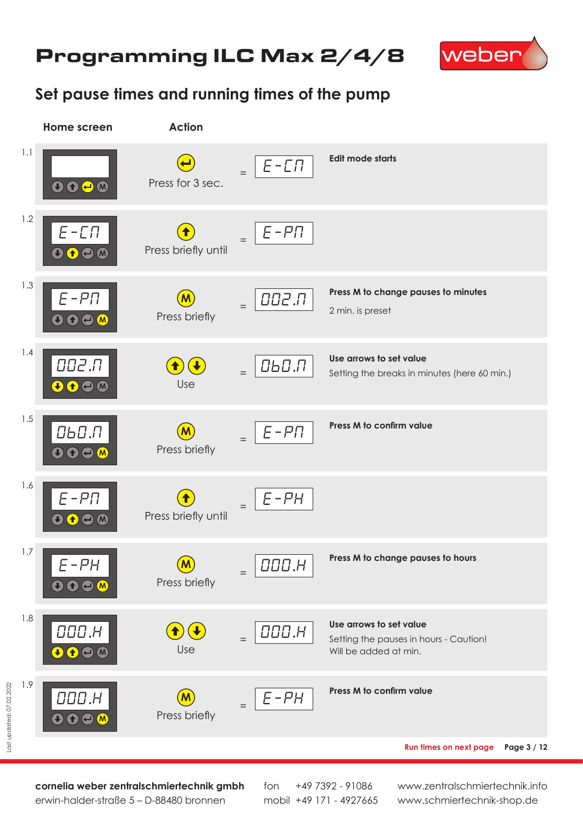# Programming ILC Max 2/4/8



### **Set pause times and running times of the pump**



**cornelia weber zentralschmiertechnik gmbh** erwin-halder-straße 5 – D-88480 bronnen

fon mobil +49 171 - 4927665 +49 7392 - 91086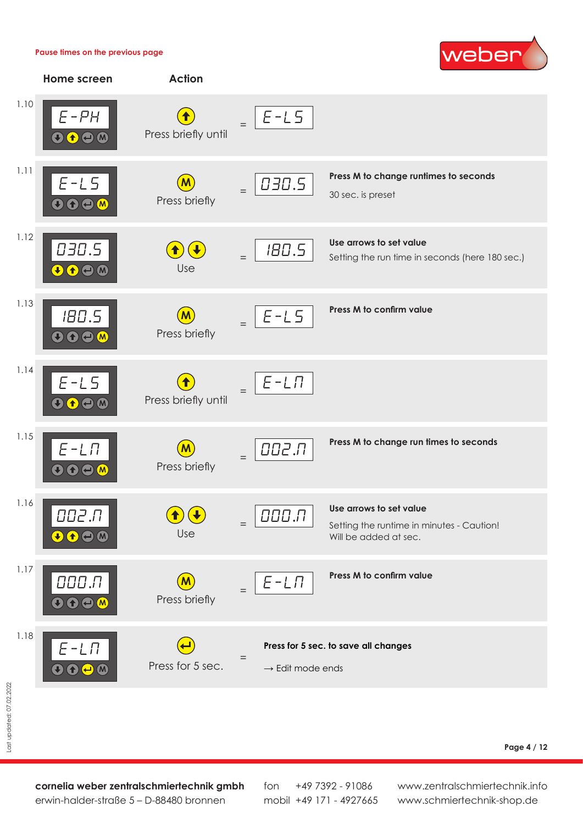#### **Pause times on the previous page**





**cornelia weber zentralschmiertechnik gmbh** erwin-halder-straße 5 – D-88480 bronnen

fon mobil +49 171 - 4927665 +49 7392 - 91086

www.zentralschmiertechnik.info www.schmiertechnik-shop.de

**Page 4 / 12**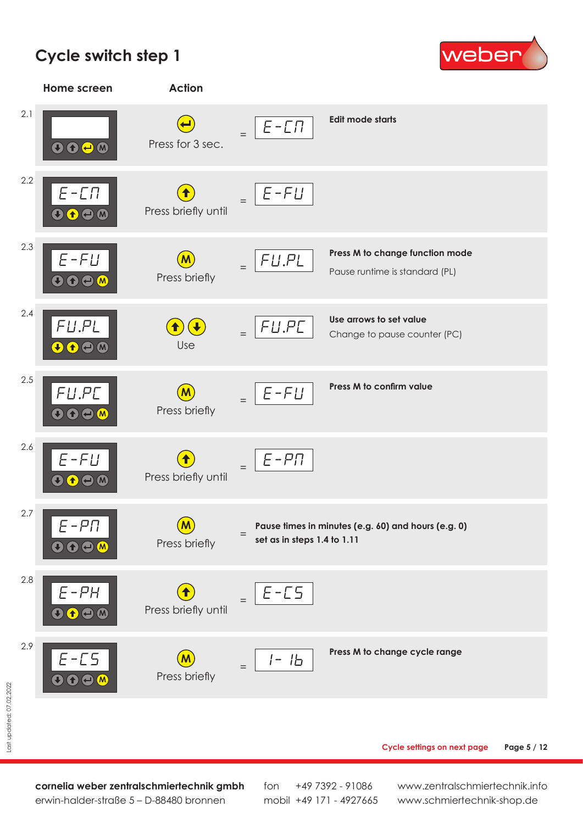# **Cycle switch step 1**





**Cycle settings on next page Page 5 / 12**

**cornelia weber zentralschmiertechnik gmbh** erwin-halder-straße 5 – D-88480 bronnen

fon mobil +49 171 - 4927665 +49 7392 - 91086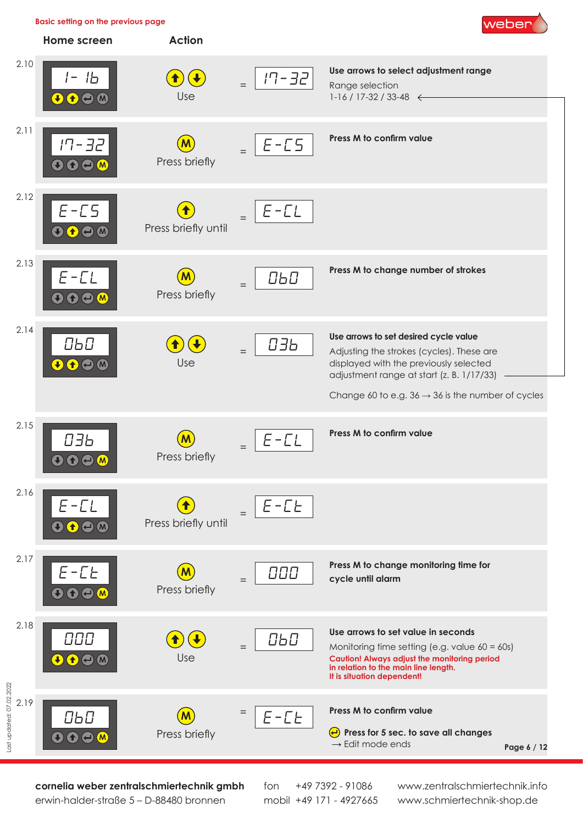

**cornelia weber zentralschmiertechnik gmbh** erwin-halder-straße 5 – D-88480 bronnen

fon mobil +49 171 - 4927665 +49 7392 - 91086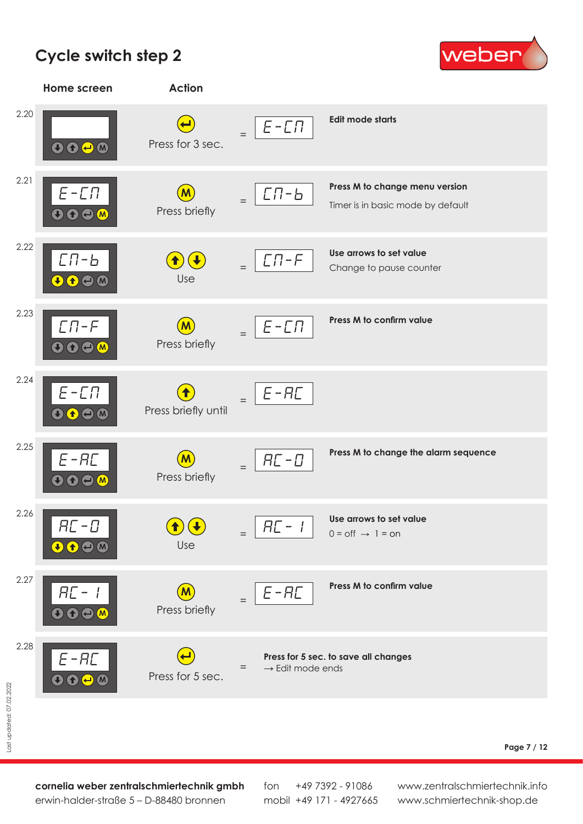# **Cycle switch step 2**





**Page 7 / 12**

**cornelia weber zentralschmiertechnik gmbh** erwin-halder-straße 5 – D-88480 bronnen

fon mobil +49 171 - 4927665 +49 7392 - 91086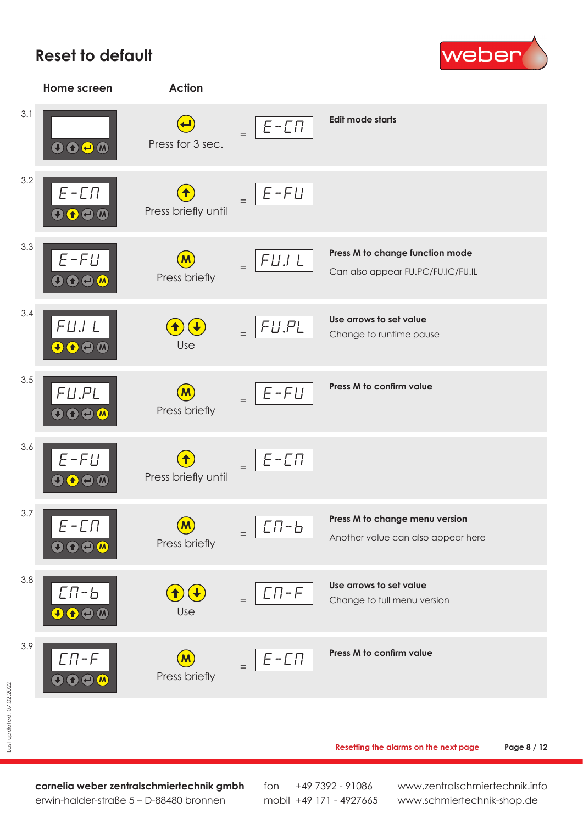### **Reset to default**





**Resetting the alarms on the next page Page 8 / 12** 

**cornelia weber zentralschmiertechnik gmbh** erwin-halder-straße 5 – D-88480 bronnen

fon mobil +49 171 - 4927665 +49 7392 - 91086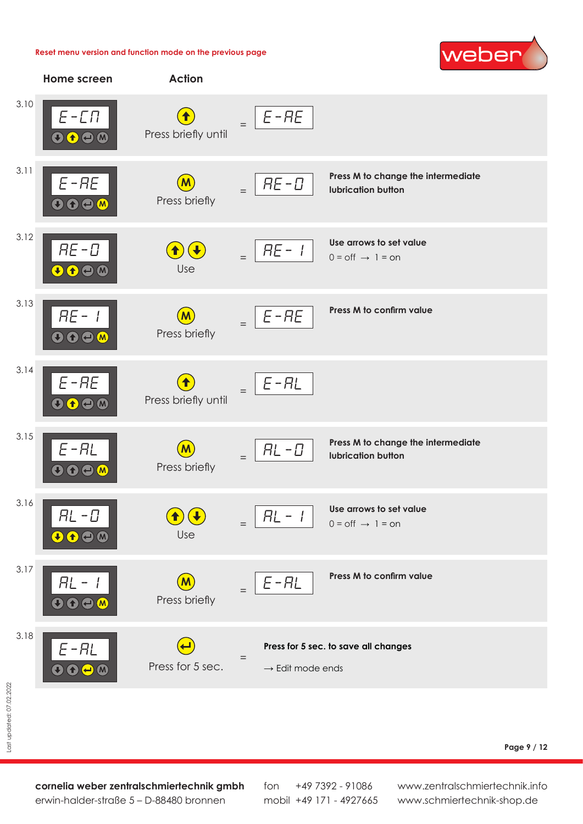#### **Reset menu version and function mode on the previous page**





**cornelia weber zentralschmiertechnik gmbh** erwin-halder-straße 5 – D-88480 bronnen

fon mobil +49 171 - 4927665 +49 7392 - 91086

www.zentralschmiertechnik.info www.schmiertechnik-shop.de

**Page 9 / 12**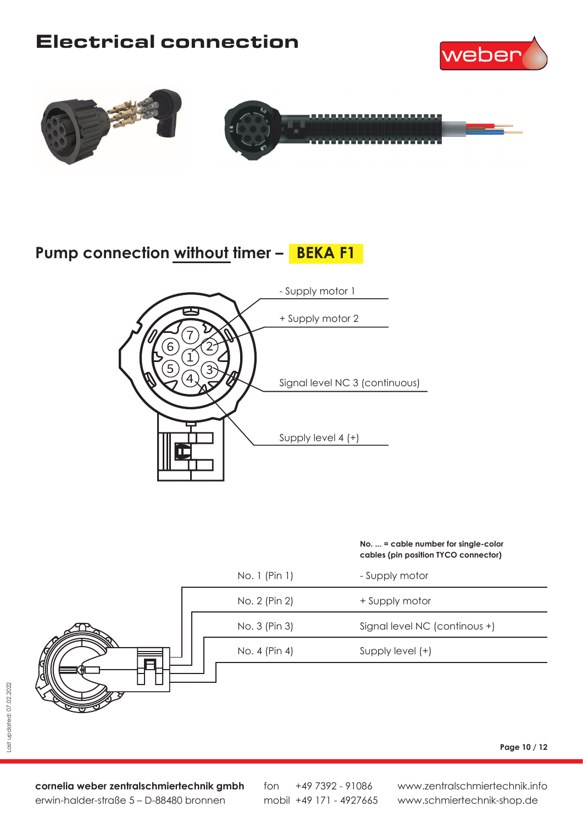# Electrical connection







# **Pump connection without timer – BEKA F1**



#### **No. ... = cable number for single-color cables (pin position TYCO connector)**



**cornelia weber zentralschmiertechnik gmbh** erwin-halder-straße 5 – D-88480 bronnen

fon mobil +49 171 - 4927665 +49 7392 - 91086

www.zentralschmiertechnik.info www.schmiertechnik-shop.de

**Page 10 / 12**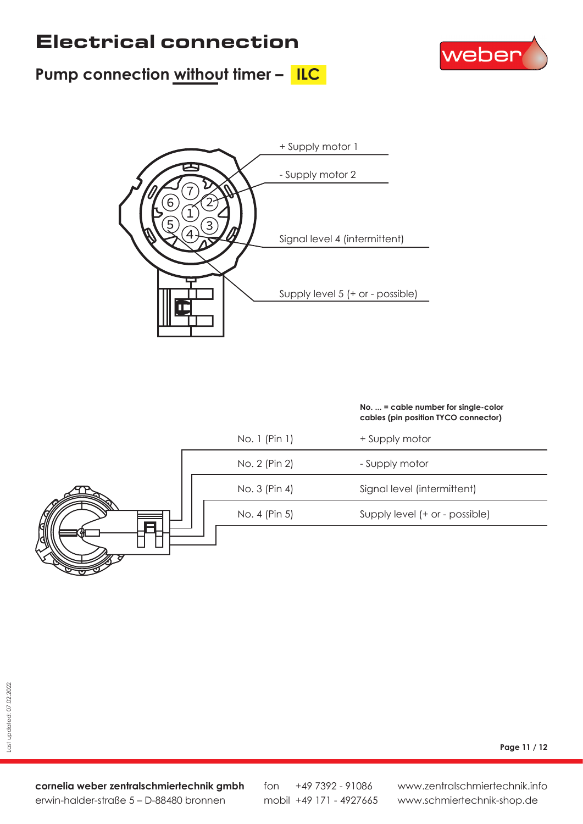# Electrical connection







#### **No. ... = cable number for single-color cables (pin position TYCO connector)**



**Page 11 / 12**

**cornelia weber zentralschmiertechnik gmbh** erwin-halder-straße 5 – D-88480 bronnen

fon mobil +49 171 - 4927665 +49 7392 - 91086